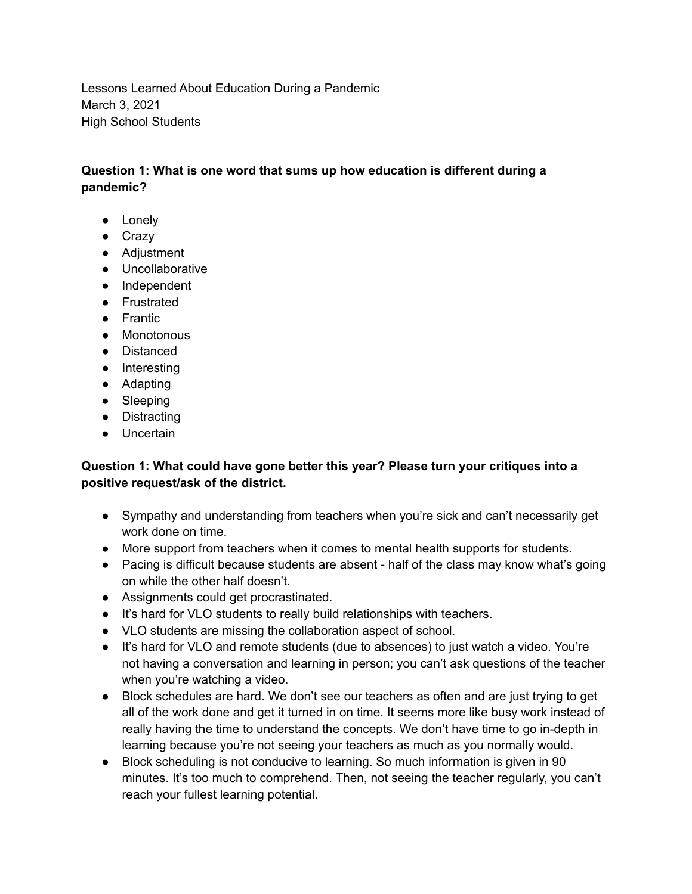Lessons Learned About Education During a Pandemic March 3, 2021 High School Students

## **Question 1: What is one word that sums up how education is different during a pandemic?**

- Lonely
- Crazy
- Adjustment
- Uncollaborative
- Independent
- Frustrated
- Frantic
- Monotonous
- Distanced
- Interesting
- Adapting
- Sleeping
- Distracting
- Uncertain

## **Question 1: What could have gone better this year? Please turn your critiques into a positive request/ask of the district.**

- Sympathy and understanding from teachers when you're sick and can't necessarily get work done on time.
- More support from teachers when it comes to mental health supports for students.
- Pacing is difficult because students are absent half of the class may know what's going on while the other half doesn't.
- Assignments could get procrastinated.
- It's hard for VLO students to really build relationships with teachers.
- VLO students are missing the collaboration aspect of school.
- It's hard for VLO and remote students (due to absences) to just watch a video. You're not having a conversation and learning in person; you can't ask questions of the teacher when you're watching a video.
- Block schedules are hard. We don't see our teachers as often and are just trying to get all of the work done and get it turned in on time. It seems more like busy work instead of really having the time to understand the concepts. We don't have time to go in-depth in learning because you're not seeing your teachers as much as you normally would.
- Block scheduling is not conducive to learning. So much information is given in 90 minutes. It's too much to comprehend. Then, not seeing the teacher regularly, you can't reach your fullest learning potential.